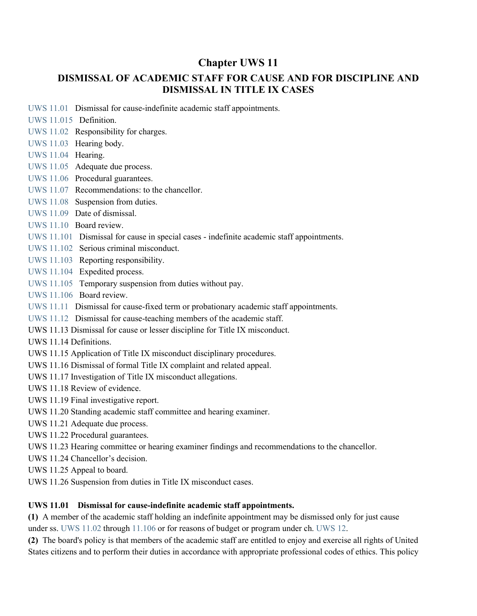# **Chapter UWS 11**

# **DISMISSAL OF ACADEMIC STAFF FOR CAUSE AND FOR DISCIPLINE AND DISMISSAL IN TITLE IX CASES**

- [UWS 11.01](https://docs.legis.wisconsin.gov/document/administrativecode/UWS%2011.01) Dismissal for cause-indefinite academic staff appointments.
- [UWS 11.015](https://docs.legis.wisconsin.gov/document/administrativecode/UWS%2011.015) Definition.
- [UWS 11.02](https://docs.legis.wisconsin.gov/document/administrativecode/UWS%2011.02) Responsibility for charges.
- [UWS 11.03](https://docs.legis.wisconsin.gov/document/administrativecode/UWS%2011.03) Hearing body.
- [UWS 11.04](https://docs.legis.wisconsin.gov/document/administrativecode/UWS%2011.04) Hearing.
- [UWS 11.05](https://docs.legis.wisconsin.gov/document/administrativecode/UWS%2011.05) Adequate due process.
- [UWS 11.06](https://docs.legis.wisconsin.gov/document/administrativecode/UWS%2011.06) Procedural guarantees.
- [UWS 11.07](https://docs.legis.wisconsin.gov/document/administrativecode/UWS%2011.07) Recommendations: to the chancellor.
- [UWS 11.08](https://docs.legis.wisconsin.gov/document/administrativecode/UWS%2011.08) Suspension from duties.
- [UWS 11.09](https://docs.legis.wisconsin.gov/document/administrativecode/UWS%2011.09) Date of dismissal.
- [UWS 11.10](https://docs.legis.wisconsin.gov/document/administrativecode/UWS%2011.10) Board review.
- [UWS 11.101](https://docs.legis.wisconsin.gov/document/administrativecode/UWS%2011.101) Dismissal for cause in special cases indefinite academic staff appointments.
- [UWS 11.102](https://docs.legis.wisconsin.gov/document/administrativecode/UWS%2011.102) Serious criminal misconduct.
- [UWS 11.103](https://docs.legis.wisconsin.gov/document/administrativecode/UWS%2011.103) Reporting responsibility.
- [UWS 11.104](https://docs.legis.wisconsin.gov/document/administrativecode/UWS%2011.104) Expedited process.
- [UWS 11.105](https://docs.legis.wisconsin.gov/document/administrativecode/UWS%2011.105) Temporary suspension from duties without pay.
- [UWS 11.106](https://docs.legis.wisconsin.gov/document/administrativecode/UWS%2011.106) Board review.
- [UWS 11.11](https://docs.legis.wisconsin.gov/document/administrativecode/UWS%2011.11) Dismissal for cause-fixed term or probationary academic staff appointments.
- [UWS 11.12](https://docs.legis.wisconsin.gov/document/administrativecode/UWS%2011.12) Dismissal for cause-teaching members of the academic staff.
- UWS 11.13 Dismissal for cause or lesser discipline for Title IX misconduct.
- UWS 11.14 Definitions.
- UWS 11.15 Application of Title IX misconduct disciplinary procedures.
- UWS 11.16 Dismissal of formal Title IX complaint and related appeal.
- UWS 11.17 Investigation of Title IX misconduct allegations.
- UWS 11.18 Review of evidence.
- UWS 11.19 Final investigative report.
- UWS 11.20 Standing academic staff committee and hearing examiner.
- UWS 11.21 Adequate due process.
- UWS 11.22 Procedural guarantees.
- UWS 11.23 Hearing committee or hearing examiner findings and recommendations to the chancellor.
- UWS 11.24 Chancellor's decision.
- UWS 11.25 Appeal to board.
- UWS 11.26 Suspension from duties in Title IX misconduct cases.

# **UWS 11.01 Dismissal for cause-indefinite academic staff appointments.**

**(1)** A member of the academic staff holding an indefinite appointment may be dismissed only for just cause under ss. [UWS 11.02](https://docs.legis.wisconsin.gov/document/administrativecode/UWS%2011.02) through [11.106](https://docs.legis.wisconsin.gov/document/administrativecode/UWS%2011.106) or for reasons of budget or program under ch. [UWS 12.](https://docs.legis.wisconsin.gov/document/administrativecode/ch.%20UWS%2012)

**(2)** The board's policy is that members of the academic staff are entitled to enjoy and exercise all rights of United States citizens and to perform their duties in accordance with appropriate professional codes of ethics. This policy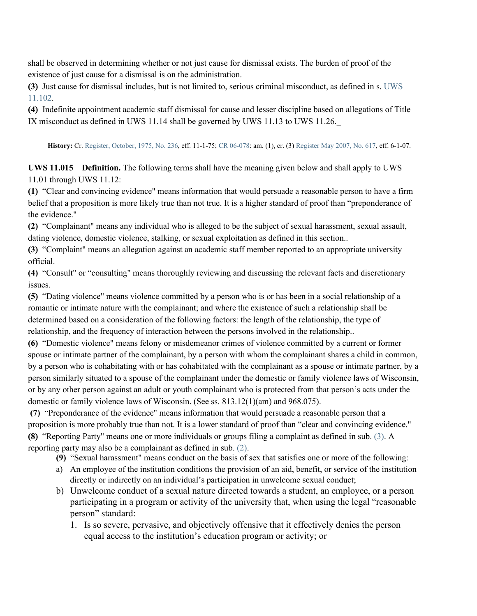shall be observed in determining whether or not just cause for dismissal exists. The burden of proof of the existence of just cause for a dismissal is on the administration.

**(3)** Just cause for dismissal includes, but is not limited to, serious criminal misconduct, as defined in s[. UWS](https://docs.legis.wisconsin.gov/document/administrativecode/UWS%2011.102)  [11.102.](https://docs.legis.wisconsin.gov/document/administrativecode/UWS%2011.102)

**(4)** Indefinite appointment academic staff dismissal for cause and lesser discipline based on allegations of Title IX misconduct as defined in UWS 11.14 shall be governed by UWS 11.13 to UWS 11.26.\_

**History:** Cr. [Register, October, 1975, No. 236,](https://docs.legis.wisconsin.gov/document/register/236/B/toc) eff. 11-1-75[; CR 06-078:](https://docs.legis.wisconsin.gov/document/cr/2006/78) am. (1), cr. (3) [Register May 2007, No. 617,](https://docs.legis.wisconsin.gov/document/register/617/B/toc) eff. 6-1-07.

**UWS 11.015 Definition.** The following terms shall have the meaning given below and shall apply to UWS 11.01 through UWS 11.12:

**(1)** "Clear and convincing evidence" means information that would persuade a reasonable person to have a firm belief that a proposition is more likely true than not true. It is a higher standard of proof than "preponderance of the evidence."

**(2)** "Complainant" means any individual who is alleged to be the subject of sexual harassment, sexual assault, dating violence, domestic violence, stalking, or sexual exploitation as defined in this section..

**(3)** "Complaint" means an allegation against an academic staff member reported to an appropriate university official.

**(4)** "Consult" or "consulting" means thoroughly reviewing and discussing the relevant facts and discretionary issues.

**(5)** "Dating violence" means violence committed by a person who is or has been in a social relationship of a romantic or intimate nature with the complainant; and where the existence of such a relationship shall be determined based on a consideration of the following factors: the length of the relationship, the type of relationship, and the frequency of interaction between the persons involved in the relationship..

**(6)** "Domestic violence" means felony or misdemeanor crimes of violence committed by a current or former spouse or intimate partner of the complainant, by a person with whom the complainant shares a child in common, by a person who is cohabitating with or has cohabitated with the complainant as a spouse or intimate partner, by a person similarly situated to a spouse of the complainant under the domestic or family violence laws of Wisconsin, or by any other person against an adult or youth complainant who is protected from that person's acts under the domestic or family violence laws of Wisconsin. (See ss. 813.12(1)(am) and 968.075).

**(7)** "Preponderance of the evidence" means information that would persuade a reasonable person that a proposition is more probably true than not. It is a lower standard of proof than "clear and convincing evidence." **(8)** "Reporting Party" means one or more individuals or groups filing a complaint as defined in sub. [\(3\).](https://docs.legis.wisconsin.gov/document/administrativecode/UWS%2011.015(3)) A reporting party may also be a complainant as defined in sub. [\(2\).](https://docs.legis.wisconsin.gov/document/administrativecode/UWS%2011.015(2))

**(9)** "Sexual harassment" means conduct on the basis of sex that satisfies one or more of the following:

- a) An employee of the institution conditions the provision of an aid, benefit, or service of the institution directly or indirectly on an individual's participation in unwelcome sexual conduct;
- b) Unwelcome conduct of a sexual nature directed towards a student, an employee, or a person participating in a program or activity of the university that, when using the legal "reasonable person" standard:
	- 1. Is so severe, pervasive, and objectively offensive that it effectively denies the person equal access to the institution's education program or activity; or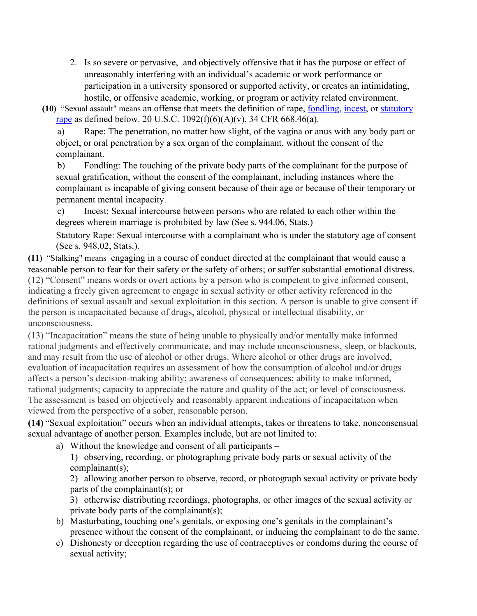- 2. Is so severe or pervasive, and objectively offensive that it has the purpose or effect of unreasonably interfering with an individual's academic or work performance or participation in a university sponsored or supported activity, or creates an intimidating, hostile, or offensive academic, working, or program or activity related environment.
- **(10)** "Sexual assault" means an offense that meets the definition of rape, [fondling,](https://www.law.cornell.edu/definitions/index.php?width=840&height=800&iframe=true&def_id=3112f914903fb64936d08c8c15e2ea59&term_occur=999&term_src=Title:34:Subtitle:B:Chapter:VI:Part:668:Subpart:D:668.46) [incest,](https://www.law.cornell.edu/definitions/index.php?width=840&height=800&iframe=true&def_id=5ee45180f812d62eecc4e6aa2a0693b4&term_occur=999&term_src=Title:34:Subtitle:B:Chapter:VI:Part:668:Subpart:D:668.46) or [statutory](https://www.law.cornell.edu/definitions/index.php?width=840&height=800&iframe=true&def_id=d378725adf04ddf1e40cd14d6e338cca&term_occur=999&term_src=Title:34:Subtitle:B:Chapter:VI:Part:668:Subpart:D:668.46)  [rape](https://www.law.cornell.edu/definitions/index.php?width=840&height=800&iframe=true&def_id=d378725adf04ddf1e40cd14d6e338cca&term_occur=999&term_src=Title:34:Subtitle:B:Chapter:VI:Part:668:Subpart:D:668.46) as defined below. 20 U.S.C. 1092(f)(6)(A)(v), 34 CFR 668.46(a).

a) Rape: The penetration, no matter how slight, of the vagina or anus with any body part or object, or oral penetration by a sex organ of the complainant, without the consent of the complainant.

b) Fondling: The touching of the private body parts of the complainant for the purpose of sexual gratification, without the consent of the complainant, including instances where the complainant is incapable of giving consent because of their age or because of their temporary or permanent mental incapacity.

c) Incest: Sexual intercourse between persons who are related to each other within the degrees wherein marriage is prohibited by law (See s. 944.06, Stats.)

Statutory Rape: Sexual intercourse with a complainant who is under the statutory age of consent (See s. 948.02, Stats.).

**(11)** "Stalking" means engaging in a course of conduct directed at the complainant that would cause a reasonable person to fear for their safety or the safety of others; or suffer substantial emotional distress. (12) "Consent" means words or overt actions by a person who is competent to give informed consent, indicating a freely given agreement to engage in sexual activity or other activity referenced in the definitions of sexual assault and sexual exploitation in this section. A person is unable to give consent if the person is incapacitated because of drugs, alcohol, physical or intellectual disability, or unconsciousness.

(13) "Incapacitation" means the state of being unable to physically and/or mentally make informed rational judgments and effectively communicate, and may include unconsciousness, sleep, or blackouts, and may result from the use of alcohol or other drugs. Where alcohol or other drugs are involved, evaluation of incapacitation requires an assessment of how the consumption of alcohol and/or drugs affects a person's decision-making ability; awareness of consequences; ability to make informed, rational judgments; capacity to appreciate the nature and quality of the act; or level of consciousness. The assessment is based on objectively and reasonably apparent indications of incapacitation when viewed from the perspective of a sober, reasonable person.

**(14)** "Sexual exploitation" occurs when an individual attempts, takes or threatens to take, nonconsensual sexual advantage of another person. Examples include, but are not limited to:

a) Without the knowledge and consent of all participants –

1) observing, recording, or photographing private body parts or sexual activity of the complainant(s);

2) allowing another person to observe, record, or photograph sexual activity or private body parts of the complainant(s); or

3) otherwise distributing recordings, photographs, or other images of the sexual activity or private body parts of the complainant(s);

- b) Masturbating, touching one's genitals, or exposing one's genitals in the complainant's presence without the consent of the complainant, or inducing the complainant to do the same.
- c) Dishonesty or deception regarding the use of contraceptives or condoms during the course of sexual activity;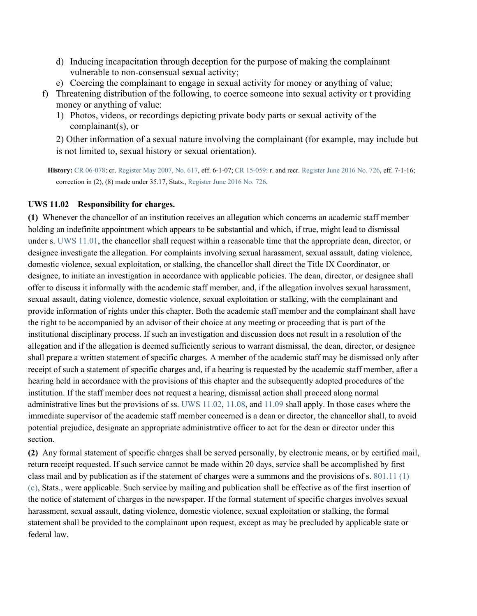- d) Inducing incapacitation through deception for the purpose of making the complainant vulnerable to non-consensual sexual activity;
- e) Coercing the complainant to engage in sexual activity for money or anything of value;
- f) Threatening distribution of the following, to coerce someone into sexual activity or t providing money or anything of value:
	- 1) Photos, videos, or recordings depicting private body parts or sexual activity of the complainant(s), or

2) Other information of a sexual nature involving the complainant (for example, may include but is not limited to, sexual history or sexual orientation).

**History:** [CR 06-078:](https://docs.legis.wisconsin.gov/document/cr/2006/78) cr[. Register May 2007, No. 617,](https://docs.legis.wisconsin.gov/document/register/617/B/toc) eff. 6-1-07[; CR 15-059:](https://docs.legis.wisconsin.gov/document/cr/2015/59) r. and recr[. Register June 2016 No. 726,](https://docs.legis.wisconsin.gov/document/register/726/B/toc) eff. 7-1-16; correction in (2), (8) made under 35.17, Stats.[, Register June 2016 No. 726.](https://docs.legis.wisconsin.gov/document/register/726/B/toc)

### **UWS 11.02 Responsibility for charges.**

**(1)** Whenever the chancellor of an institution receives an allegation which concerns an academic staff member holding an indefinite appointment which appears to be substantial and which, if true, might lead to dismissal under s. [UWS 11.01,](https://docs.legis.wisconsin.gov/document/administrativecode/UWS%2011.01) the chancellor shall request within a reasonable time that the appropriate dean, director, or designee investigate the allegation. For complaints involving sexual harassment, sexual assault, dating violence, domestic violence, sexual exploitation, or stalking, the chancellor shall direct the Title IX Coordinator, or designee, to initiate an investigation in accordance with applicable policies. The dean, director, or designee shall offer to discuss it informally with the academic staff member, and, if the allegation involves sexual harassment, sexual assault, dating violence, domestic violence, sexual exploitation or stalking, with the complainant and provide information of rights under this chapter. Both the academic staff member and the complainant shall have the right to be accompanied by an advisor of their choice at any meeting or proceeding that is part of the institutional disciplinary process. If such an investigation and discussion does not result in a resolution of the allegation and if the allegation is deemed sufficiently serious to warrant dismissal, the dean, director, or designee shall prepare a written statement of specific charges. A member of the academic staff may be dismissed only after receipt of such a statement of specific charges and, if a hearing is requested by the academic staff member, after a hearing held in accordance with the provisions of this chapter and the subsequently adopted procedures of the institution. If the staff member does not request a hearing, dismissal action shall proceed along normal administrative lines but the provisions of ss. [UWS 11.02,](https://docs.legis.wisconsin.gov/document/administrativecode/UWS%2011.02) [11.08,](https://docs.legis.wisconsin.gov/document/administrativecode/UWS%2011.08) and [11.09](https://docs.legis.wisconsin.gov/document/administrativecode/UWS%2011.09) shall apply. In those cases where the immediate supervisor of the academic staff member concerned is a dean or director, the chancellor shall, to avoid potential prejudice, designate an appropriate administrative officer to act for the dean or director under this section.

**(2)** Any formal statement of specific charges shall be served personally, by electronic means, or by certified mail, return receipt requested. If such service cannot be made within 20 days, service shall be accomplished by first class mail and by publication as if the statement of charges were a summons and the provisions of s. [801.11 \(1\)](https://docs.legis.wisconsin.gov/document/statutes/801.11(1)(c))  [\(c\),](https://docs.legis.wisconsin.gov/document/statutes/801.11(1)(c)) Stats., were applicable. Such service by mailing and publication shall be effective as of the first insertion of the notice of statement of charges in the newspaper. If the formal statement of specific charges involves sexual harassment, sexual assault, dating violence, domestic violence, sexual exploitation or stalking, the formal statement shall be provided to the complainant upon request, except as may be precluded by applicable state or federal law.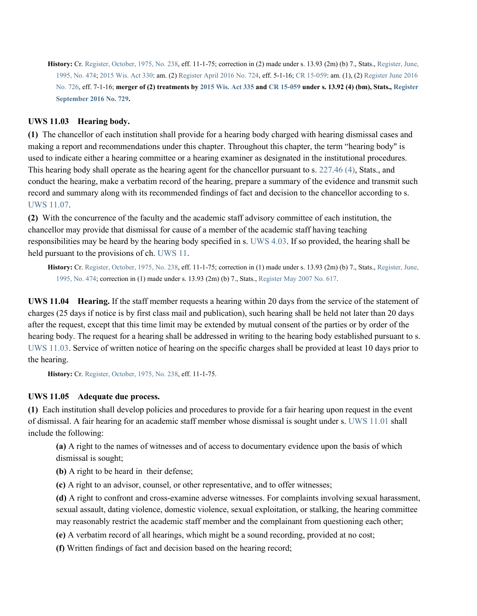History: Cr. [Register, October, 1975, No. 238,](https://docs.legis.wisconsin.gov/document/register/238/B/toc) eff. 11-1-75; correction in (2) made under s. 13.93 (2m) (b) 7., Stats., Register, June, [1995, No. 474;](https://docs.legis.wisconsin.gov/document/register/474/B/toc) [2015 Wis. Act 330:](https://docs.legis.wisconsin.gov/document/acts/2015/330) am. (2[\) Register April 2016 No. 724,](https://docs.legis.wisconsin.gov/document/register/724/B/toc) eff. 5-1-16[; CR 15-059:](https://docs.legis.wisconsin.gov/document/cr/2015/59) am. (1), (2[\) Register June 2016](https://docs.legis.wisconsin.gov/document/register/726/B/toc)  [No. 726,](https://docs.legis.wisconsin.gov/document/register/726/B/toc) eff. 7-1-16; **merger of (2) treatments by [2015 Wis. Act 335](https://docs.legis.wisconsin.gov/document/acts/2015/335) and [CR 15-059](https://docs.legis.wisconsin.gov/document/cr/2015/59) under s. 13.92 (4) (bm), Stats.[, Register](https://docs.legis.wisconsin.gov/document/register/729/B/toc)  [September 2016 No. 729.](https://docs.legis.wisconsin.gov/document/register/729/B/toc)**

## **UWS 11.03 Hearing body.**

**(1)** The chancellor of each institution shall provide for a hearing body charged with hearing dismissal cases and making a report and recommendations under this chapter. Throughout this chapter, the term "hearing body" is used to indicate either a hearing committee or a hearing examiner as designated in the institutional procedures. This hearing body shall operate as the hearing agent for the chancellor pursuant to s. [227.46 \(4\),](https://docs.legis.wisconsin.gov/document/statutes/227.46(4)) Stats., and conduct the hearing, make a verbatim record of the hearing, prepare a summary of the evidence and transmit such record and summary along with its recommended findings of fact and decision to the chancellor according to s. [UWS 11.07.](https://docs.legis.wisconsin.gov/document/administrativecode/UWS%2011.07)

**(2)** With the concurrence of the faculty and the academic staff advisory committee of each institution, the chancellor may provide that dismissal for cause of a member of the academic staff having teaching responsibilities may be heard by the hearing body specified in s. [UWS](https://docs.legis.wisconsin.gov/document/administrativecode/UWS%204.03) 4.03. If so provided, the hearing shall be held pursuant to the provisions of ch. [UWS 11.](https://docs.legis.wisconsin.gov/document/administrativecode/ch.%20UWS%2011)

History: Cr. [Register, October, 1975, No. 238,](https://docs.legis.wisconsin.gov/document/register/238/B/toc) eff. 11-1-75; correction in (1) made under s. 13.93 (2m) (b) 7., Stats., Register, June, [1995, No. 474;](https://docs.legis.wisconsin.gov/document/register/474/B/toc) correction in (1) made under s. 13.93 (2m) (b) 7., Stats., [Register May 2007 No. 617.](https://docs.legis.wisconsin.gov/document/register/617/B/toc)

**UWS 11.04 Hearing.** If the staff member requests a hearing within 20 days from the service of the statement of charges (25 days if notice is by first class mail and publication), such hearing shall be held not later than 20 days after the request, except that this time limit may be extended by mutual consent of the parties or by order of the hearing body. The request for a hearing shall be addressed in writing to the hearing body established pursuant to s. [UWS 11.03.](https://docs.legis.wisconsin.gov/document/administrativecode/UWS%2011.03) Service of written notice of hearing on the specific charges shall be provided at least 10 days prior to the hearing.

**History:** Cr. [Register, October, 1975, No. 238,](https://docs.legis.wisconsin.gov/document/register/238/B/toc) eff. 11-1-75.

## **UWS 11.05 Adequate due process.**

**(1)** Each institution shall develop policies and procedures to provide for a fair hearing upon request in the event of dismissal. A fair hearing for an academic staff member whose dismissal is sought under s. [UWS 11.01](https://docs.legis.wisconsin.gov/document/administrativecode/UWS%2011.01) shall include the following:

**(a)** A right to the names of witnesses and of access to documentary evidence upon the basis of which dismissal is sought;

**(b)** A right to be heard in their defense;

**(c)** A right to an advisor, counsel, or other representative, and to offer witnesses;

**(d)** A right to confront and cross-examine adverse witnesses. For complaints involving sexual harassment, sexual assault, dating violence, domestic violence, sexual exploitation, or stalking, the hearing committee may reasonably restrict the academic staff member and the complainant from questioning each other;

**(e)** A verbatim record of all hearings, which might be a sound recording, provided at no cost;

**(f)** Written findings of fact and decision based on the hearing record;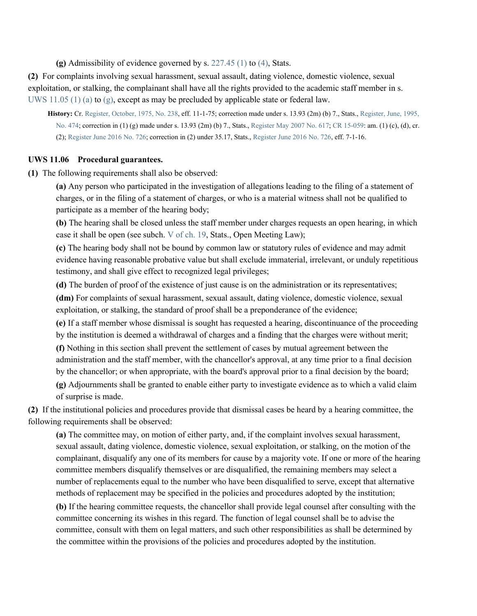**(g)** Admissibility of evidence governed by s. [227.45 \(1\)](https://docs.legis.wisconsin.gov/document/statutes/227.45(1)) to [\(4\),](https://docs.legis.wisconsin.gov/document/statutes/227.45(4)) Stats.

**(2)** For complaints involving sexual harassment, sexual assault, dating violence, domestic violence, sexual exploitation, or stalking, the complainant shall have all the rights provided to the academic staff member in s. [UWS 11.05 \(1\) \(a\)](https://docs.legis.wisconsin.gov/document/administrativecode/UWS%2011.05(1)(a)) to  $(g)$ , except as may be precluded by applicable state or federal law.

**History:** Cr. [Register, October, 1975, No. 238,](https://docs.legis.wisconsin.gov/document/register/238/B/toc) eff. 11-1-75; correction made under s. 13.93 (2m) (b) 7., Stats.[, Register, June, 1995,](https://docs.legis.wisconsin.gov/document/register/474/B/toc)  [No. 474;](https://docs.legis.wisconsin.gov/document/register/474/B/toc) correction in (1) (g) made under s. 13.93 (2m) (b) 7., Stats.[, Register May 2007 No. 617;](https://docs.legis.wisconsin.gov/document/register/617/B/toc) [CR 15-059:](https://docs.legis.wisconsin.gov/document/cr/2015/59) am. (1) (c), (d), cr. (2)[; Register June 2016 No. 726;](https://docs.legis.wisconsin.gov/document/register/726/B/toc) correction in (2) under 35.17, Stats.[, Register June 2016 No. 726,](https://docs.legis.wisconsin.gov/document/register/726/B/toc) eff. 7-1-16.

#### **UWS 11.06 Procedural guarantees.**

**(1)** The following requirements shall also be observed:

**(a)** Any person who participated in the investigation of allegations leading to the filing of a statement of charges, or in the filing of a statement of charges, or who is a material witness shall not be qualified to participate as a member of the hearing body;

**(b)** The hearing shall be closed unless the staff member under charges requests an open hearing, in which case it shall be open (see subch. [V](https://docs.legis.wisconsin.gov/document/statutes/subch.%20V%20of%20ch.%2019) [of ch. 19,](https://docs.legis.wisconsin.gov/document/statutes/subch.%20V%20of%20ch.%2019) Stats., Open Meeting Law);

**(c)** The hearing body shall not be bound by common law or statutory rules of evidence and may admit evidence having reasonable probative value but shall exclude immaterial, irrelevant, or unduly repetitious testimony, and shall give effect to recognized legal privileges;

**(d)** The burden of proof of the existence of just cause is on the administration or its representatives;

**(dm)** For complaints of sexual harassment, sexual assault, dating violence, domestic violence, sexual exploitation, or stalking, the standard of proof shall be a preponderance of the evidence;

**(e)** If a staff member whose dismissal is sought has requested a hearing, discontinuance of the proceeding by the institution is deemed a withdrawal of charges and a finding that the charges were without merit;

**(f)** Nothing in this section shall prevent the settlement of cases by mutual agreement between the administration and the staff member, with the chancellor's approval, at any time prior to a final decision

by the chancellor; or when appropriate, with the board's approval prior to a final decision by the board;

**(g)** Adjournments shall be granted to enable either party to investigate evidence as to which a valid claim of surprise is made.

**(2)** If the institutional policies and procedures provide that dismissal cases be heard by a hearing committee, the following requirements shall be observed:

**(a)** The committee may, on motion of either party, and, if the complaint involves sexual harassment, sexual assault, dating violence, domestic violence, sexual exploitation, or stalking, on the motion of the complainant, disqualify any one of its members for cause by a majority vote. If one or more of the hearing committee members disqualify themselves or are disqualified, the remaining members may select a number of replacements equal to the number who have been disqualified to serve, except that alternative methods of replacement may be specified in the policies and procedures adopted by the institution;

**(b)** If the hearing committee requests, the chancellor shall provide legal counsel after consulting with the committee concerning its wishes in this regard. The function of legal counsel shall be to advise the committee, consult with them on legal matters, and such other responsibilities as shall be determined by the committee within the provisions of the policies and procedures adopted by the institution.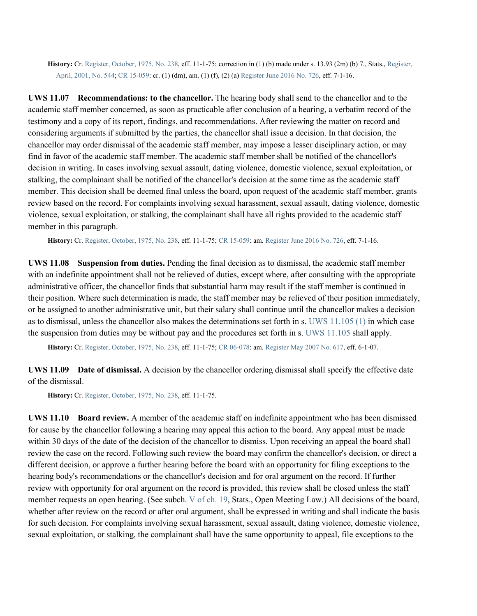**History:** Cr. [Register, October, 1975, No. 238,](https://docs.legis.wisconsin.gov/document/register/238/B/toc) eff. 11-1-75; correction in (1) (b) made under s. 13.93 (2m) (b) 7., Stats., [Register,](https://docs.legis.wisconsin.gov/document/register/544/B/toc)  [April, 2001, No. 544;](https://docs.legis.wisconsin.gov/document/register/544/B/toc) [CR 15-059:](https://docs.legis.wisconsin.gov/document/cr/2015/59) cr. (1) (dm), am. (1) (f), (2) (a[\) Register June 2016 No. 726,](https://docs.legis.wisconsin.gov/document/register/726/B/toc) eff. 7-1-16.

**UWS 11.07 Recommendations: to the chancellor.** The hearing body shall send to the chancellor and to the academic staff member concerned, as soon as practicable after conclusion of a hearing, a verbatim record of the testimony and a copy of its report, findings, and recommendations. After reviewing the matter on record and considering arguments if submitted by the parties, the chancellor shall issue a decision. In that decision, the chancellor may order dismissal of the academic staff member, may impose a lesser disciplinary action, or may find in favor of the academic staff member. The academic staff member shall be notified of the chancellor's decision in writing. In cases involving sexual assault, dating violence, domestic violence, sexual exploitation, or stalking, the complainant shall be notified of the chancellor's decision at the same time as the academic staff member. This decision shall be deemed final unless the board, upon request of the academic staff member, grants review based on the record. For complaints involving sexual harassment, sexual assault, dating violence, domestic violence, sexual exploitation, or stalking, the complainant shall have all rights provided to the academic staff member in this paragraph.

**History:** Cr. [Register, October, 1975, No. 238,](https://docs.legis.wisconsin.gov/document/register/238/B/toc) eff. 11-1-75[; CR 15-059:](https://docs.legis.wisconsin.gov/document/cr/2015/59) am[. Register June 2016 No. 726,](https://docs.legis.wisconsin.gov/document/register/726/B/toc) eff. 7-1-16.

**UWS 11.08 Suspension from duties.** Pending the final decision as to dismissal, the academic staff member with an indefinite appointment shall not be relieved of duties, except where, after consulting with the appropriate administrative officer, the chancellor finds that substantial harm may result if the staff member is continued in their position. Where such determination is made, the staff member may be relieved of their position immediately, or be assigned to another administrative unit, but their salary shall continue until the chancellor makes a decision as to dismissal, unless the chancellor also makes the determinations set forth in s. [UWS 11.105 \(1\)](https://docs.legis.wisconsin.gov/document/administrativecode/UWS%2011.105(1)) in which case the suspension from duties may be without pay and the procedures set forth in s. [UWS 11.105](https://docs.legis.wisconsin.gov/document/administrativecode/UWS%2011.105) shall apply.

**History:** Cr. [Register, October, 1975, No. 238,](https://docs.legis.wisconsin.gov/document/register/238/B/toc) eff. 11-1-75[; CR 06-078:](https://docs.legis.wisconsin.gov/document/cr/2006/78) am[. Register May 2007 No. 617,](https://docs.legis.wisconsin.gov/document/register/617/B/toc) eff. 6-1-07.

**UWS 11.09 Date of dismissal.** A decision by the chancellor ordering dismissal shall specify the effective date of the dismissal.

**History:** Cr. [Register, October, 1975, No. 238,](https://docs.legis.wisconsin.gov/document/register/238/B/toc) eff. 11-1-75.

**UWS 11.10 Board review.** A member of the academic staff on indefinite appointment who has been dismissed for cause by the chancellor following a hearing may appeal this action to the board. Any appeal must be made within 30 days of the date of the decision of the chancellor to dismiss. Upon receiving an appeal the board shall review the case on the record. Following such review the board may confirm the chancellor's decision, or direct a different decision, or approve a further hearing before the board with an opportunity for filing exceptions to the hearing body's recommendations or the chancellor's decision and for oral argument on the record. If further review with opportunity for oral argument on the record is provided, this review shall be closed unless the staff member requests an open hearing. (See subch. [V](https://docs.legis.wisconsin.gov/document/statutes/subch.%20V%20of%20ch.%2019) [of ch. 19,](https://docs.legis.wisconsin.gov/document/statutes/subch.%20V%20of%20ch.%2019) Stats., Open Meeting Law.) All decisions of the board, whether after review on the record or after oral argument, shall be expressed in writing and shall indicate the basis for such decision. For complaints involving sexual harassment, sexual assault, dating violence, domestic violence, sexual exploitation, or stalking, the complainant shall have the same opportunity to appeal, file exceptions to the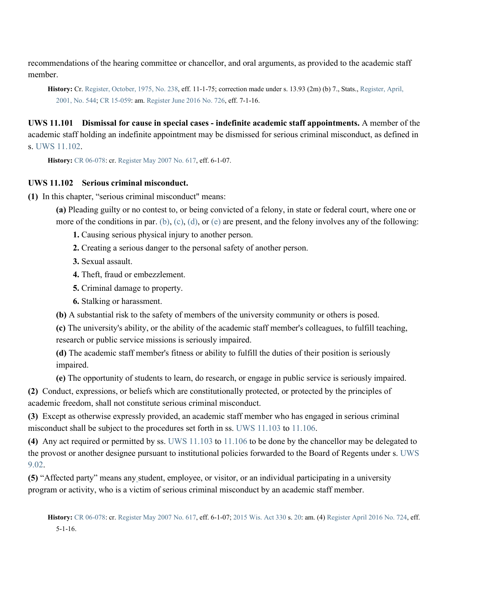recommendations of the hearing committee or chancellor, and oral arguments, as provided to the academic staff member.

**History:** Cr. [Register, October, 1975, No. 238,](https://docs.legis.wisconsin.gov/document/register/238/B/toc) eff. 11-1-75; correction made under s. 13.93 (2m) (b) 7., Stats.[, Register, April,](https://docs.legis.wisconsin.gov/document/register/544/B/toc)  [2001, No. 544;](https://docs.legis.wisconsin.gov/document/register/544/B/toc) [CR 15-059:](https://docs.legis.wisconsin.gov/document/cr/2015/59) am[. Register June 2016 No. 726,](https://docs.legis.wisconsin.gov/document/register/726/B/toc) eff. 7-1-16.

**UWS 11.101 Dismissal for cause in special cases - indefinite academic staff appointments.** A member of the academic staff holding an indefinite appointment may be dismissed for serious criminal misconduct, as defined in s. [UWS 11.102.](https://docs.legis.wisconsin.gov/document/administrativecode/UWS%2011.102)

**History:** [CR 06-078:](https://docs.legis.wisconsin.gov/document/cr/2006/78) cr[. Register May 2007 No. 617,](https://docs.legis.wisconsin.gov/document/register/617/B/toc) eff. 6-1-07.

## **UWS 11.102 Serious criminal misconduct.**

**(1)** In this chapter, "serious criminal misconduct" means:

**(a)** Pleading guilty or no contest to, or being convicted of a felony, in state or federal court, where one or more of the conditions in par. [\(b\),](https://docs.legis.wisconsin.gov/document/administrativecode/UWS%2011.102(1)(b)) [\(c\),](https://docs.legis.wisconsin.gov/document/administrativecode/UWS%2011.102(1)(c)) [\(d\),](https://docs.legis.wisconsin.gov/document/administrativecode/UWS%2011.102(1)(d)) or [\(e\)](https://docs.legis.wisconsin.gov/document/administrativecode/UWS%2011.102(1)(e)) are present, and the felony involves any of the following:

**1.** Causing serious physical injury to another person.

- **2.** Creating a serious danger to the personal safety of another person.
- **3.** Sexual assault.
- **4.** Theft, fraud or embezzlement.
- **5.** Criminal damage to property.
- **6.** Stalking or harassment.
- **(b)** A substantial risk to the safety of members of the university community or others is posed.

**(c)** The university's ability, or the ability of the academic staff member's colleagues, to fulfill teaching, research or public service missions is seriously impaired.

**(d)** The academic staff member's fitness or ability to fulfill the duties of their position is seriously impaired.

**(e)** The opportunity of students to learn, do research, or engage in public service is seriously impaired.

**(2)** Conduct, expressions, or beliefs which are constitutionally protected, or protected by the principles of academic freedom, shall not constitute serious criminal misconduct.

**(3)** Except as otherwise expressly provided, an academic staff member who has engaged in serious criminal misconduct shall be subject to the procedures set forth in ss. [UWS 11.103](https://docs.legis.wisconsin.gov/document/administrativecode/UWS%2011.103) to [11.106.](https://docs.legis.wisconsin.gov/document/administrativecode/UWS%2011.106)

**(4)** Any act required or permitted by ss. [UWS 11.103](https://docs.legis.wisconsin.gov/document/administrativecode/UWS%2011.103) to [11.106](https://docs.legis.wisconsin.gov/document/administrativecode/UWS%2011.106) to be done by the chancellor may be delegated to the provost or another designee pursuant to institutional policies forwarded to the Board of Regents under s. [UWS](https://docs.legis.wisconsin.gov/document/administrativecode/UWS%209.02)  [9.02.](https://docs.legis.wisconsin.gov/document/administrativecode/UWS%209.02)

**(5)** "Affected party" means any student, employee, or visitor, or an individual participating in a university program or activity, who is a victim of serious criminal misconduct by an academic staff member.

**History:** [CR 06-078:](https://docs.legis.wisconsin.gov/document/cr/2006/78) cr[. Register May 2007 No. 617,](https://docs.legis.wisconsin.gov/document/register/617/B/toc) eff. 6-1-07[; 2015 Wis. Act 330](https://docs.legis.wisconsin.gov/document/acts/2015/330) s[. 20:](https://docs.legis.wisconsin.gov/document/acts/2015/330,%20s.%2020) am. (4[\) Register April 2016 No. 724,](https://docs.legis.wisconsin.gov/document/register/724/B/toc) eff. 5-1-16.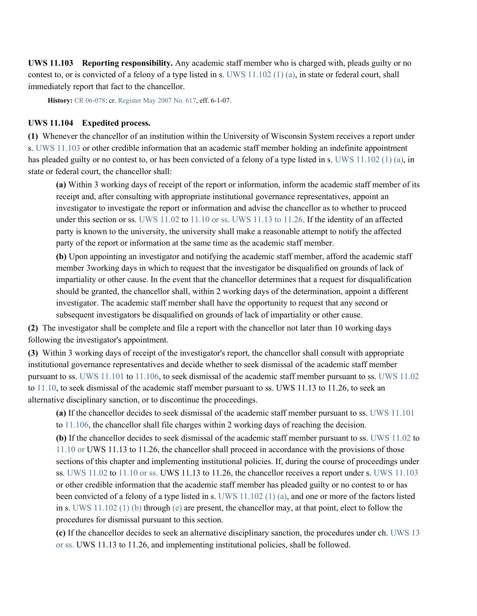**UWS 11.103 Reporting responsibility.** Any academic staff member who is charged with, pleads guilty or no contest to, or is convicted of a felony of a type listed in s. [UWS 11.102 \(1\) \(a\),](https://docs.legis.wisconsin.gov/document/administrativecode/UWS%2011.102(1)(a)) in state or federal court, shall immediately report that fact to the chancellor.

**History:** [CR 06-078:](https://docs.legis.wisconsin.gov/document/cr/2006/78) cr[. Register May 2007 No. 617,](https://docs.legis.wisconsin.gov/document/register/617/B/toc) eff. 6-1-07.

#### **UWS 11.104 Expedited process.**

**(1)** Whenever the chancellor of an institution within the University of Wisconsin System receives a report under s. [UWS 11.103](https://docs.legis.wisconsin.gov/document/administrativecode/UWS%2011.103) or other credible information that an academic staff member holding an indefinite appointment has pleaded guilty or no contest to, or has been convicted of a felony of a type listed in s. [UWS 11.102 \(1\) \(a\),](https://docs.legis.wisconsin.gov/document/administrativecode/UWS%2011.102(1)(a)) in state or federal court, the chancellor shall:

**(a)** Within 3 working days of receipt of the report or information, inform the academic staff member of its receipt and, after consulting with appropriate institutional governance representatives, appoint an investigator to investigate the report or information and advise the chancellor as to whether to proceed under this section or ss. [UWS 11.02](https://docs.legis.wisconsin.gov/document/administrativecode/UWS%2011.02) to [11.10](https://docs.legis.wisconsin.gov/document/administrativecode/UWS%2011.10) or ss. UWS 11.13 to 11.26. If the identity of an affected party is known to the university, the university shall make a reasonable attempt to notify the affected party of the report or information at the same time as the academic staff member.

**(b)** Upon appointing an investigator and notifying the academic staff member, afford the academic staff member 3working days in which to request that the investigator be disqualified on grounds of lack of impartiality or other cause. In the event that the chancellor determines that a request for disqualification should be granted, the chancellor shall, within 2 working days of the determination, appoint a different investigator. The academic staff member shall have the opportunity to request that any second or subsequent investigators be disqualified on grounds of lack of impartiality or other cause.

**(2)** The investigator shall be complete and file a report with the chancellor not later than 10 working days following the investigator's appointment.

**(3)** Within 3 working days of receipt of the investigator's report, the chancellor shall consult with appropriate institutional governance representatives and decide whether to seek dismissal of the academic staff member pursuant to ss. [UWS 11.101](https://docs.legis.wisconsin.gov/document/administrativecode/UWS%2011.101) to [11.106,](https://docs.legis.wisconsin.gov/document/administrativecode/UWS%2011.106) to seek dismissal of the academic staff member pursuant to ss. [UWS 11.02](https://docs.legis.wisconsin.gov/document/administrativecode/UWS%2011.02) to [11.10,](https://docs.legis.wisconsin.gov/document/administrativecode/UWS%2011.10) to seek dismissal of the academic staff member pursuant to ss. UWS 11.13 to 11.26, to seek an alternative disciplinary sanction, or to discontinue the proceedings.

**(a)** If the chancellor decides to seek dismissal of the academic staff member pursuant to ss. [UWS 11.101](https://docs.legis.wisconsin.gov/document/administrativecode/UWS%2011.101) to [11.106,](https://docs.legis.wisconsin.gov/document/administrativecode/UWS%2011.106) the chancellor shall file charges within 2 working days of reaching the decision.

**(b)** If the chancellor decides to seek dismissal of the academic staff member pursuant to ss. [UWS 11.02](https://docs.legis.wisconsin.gov/document/administrativecode/UWS%2011.02) to [11.10](https://docs.legis.wisconsin.gov/document/administrativecode/UWS%2011.10) or UWS 11.13 to 11.26, the chancellor shall proceed in accordance with the provisions of those sections of this chapter and implementing institutional policies. If, during the course of proceedings under ss. [UWS 11.02](https://docs.legis.wisconsin.gov/document/administrativecode/UWS%2011.02) to [11.10](https://docs.legis.wisconsin.gov/document/administrativecode/UWS%2011.10) or ss. UWS 11.13 to 11.26, the chancellor receives a report under s[. UWS 11.103](https://docs.legis.wisconsin.gov/document/administrativecode/UWS%2011.103) or other credible information that the academic staff member has pleaded guilty or no contest to or has been convicted of a felony of a type listed in s. [UWS 11.102 \(1\) \(a\),](https://docs.legis.wisconsin.gov/document/administrativecode/UWS%2011.102(1)(a)) and one or more of the factors listed in s. [UWS 11.102 \(1\) \(b\)](https://docs.legis.wisconsin.gov/document/administrativecode/UWS%2011.102(1)(b)) through [\(e\)](https://docs.legis.wisconsin.gov/document/administrativecode/UWS%2011.102(1)(e)) are present, the chancellor may, at that point, elect to follow the procedures for dismissal pursuant to this section.

**(c)** If the chancellor decides to seek an alternative disciplinary sanction, the procedures under ch. [UWS 13](https://docs.legis.wisconsin.gov/document/administrativecode/ch.%20UWS%2013) or ss. UWS 11.13 to 11.26, and implementing institutional policies, shall be followed.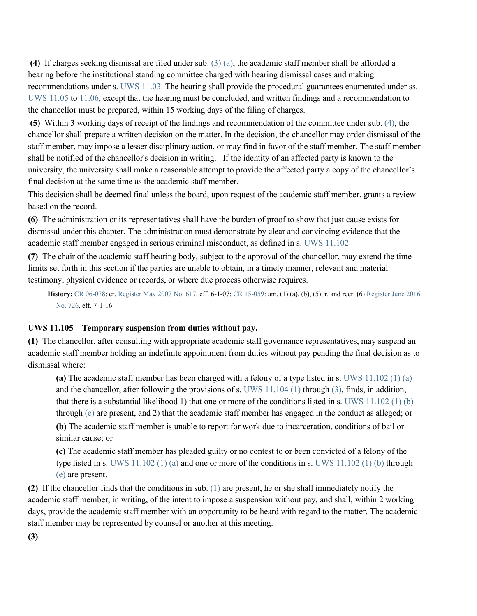**(4)** If charges seeking dismissal are filed under sub. [\(3\) \(a\),](https://docs.legis.wisconsin.gov/document/administrativecode/UWS%2011.104(3)(a)) the academic staff member shall be afforded a hearing before the institutional standing committee charged with hearing dismissal cases and making recommendations under s. [UWS 11.03.](https://docs.legis.wisconsin.gov/document/administrativecode/UWS%2011.03) The hearing shall provide the procedural guarantees enumerated under ss. [UWS 11.05](https://docs.legis.wisconsin.gov/document/administrativecode/UWS%2011.05) to [11.06,](https://docs.legis.wisconsin.gov/document/administrativecode/UWS%2011.06) except that the hearing must be concluded, and written findings and a recommendation to the chancellor must be prepared, within 15 working days of the filing of charges.

**(5)** Within 3 working days of receipt of the findings and recommendation of the committee under sub[. \(4\),](https://docs.legis.wisconsin.gov/document/administrativecode/UWS%2011.104(4)) the chancellor shall prepare a written decision on the matter. In the decision, the chancellor may order dismissal of the staff member, may impose a lesser disciplinary action, or may find in favor of the staff member. The staff member shall be notified of the chancellor's decision in writing. If the identity of an affected party is known to the university, the university shall make a reasonable attempt to provide the affected party a copy of the chancellor's final decision at the same time as the academic staff member.

This decision shall be deemed final unless the board, upon request of the academic staff member, grants a review based on the record.

**(6)** The administration or its representatives shall have the burden of proof to show that just cause exists for dismissal under this chapter. The administration must demonstrate by clear and convincing evidence that the academic staff member engaged in serious criminal misconduct, as defined in s. [UWS 11.102](https://docs.legis.wisconsin.gov/document/administrativecode/UWS%2011.102)

**(7)** The chair of the academic staff hearing body, subject to the approval of the chancellor, may extend the time limits set forth in this section if the parties are unable to obtain, in a timely manner, relevant and material testimony, physical evidence or records, or where due process otherwise requires.

**History:** [CR 06-078:](https://docs.legis.wisconsin.gov/document/cr/2006/78) cr[. Register May 2007 No. 617,](https://docs.legis.wisconsin.gov/document/register/617/B/toc) eff. 6-1-07[; CR 15-059:](https://docs.legis.wisconsin.gov/document/cr/2015/59) am. (1) (a), (b), (5), r. and recr. (6) Register June 2016 [No. 726,](https://docs.legis.wisconsin.gov/document/register/726/B/toc) eff. 7-1-16.

### **UWS 11.105 Temporary suspension from duties without pay.**

**(1)** The chancellor, after consulting with appropriate academic staff governance representatives, may suspend an academic staff member holding an indefinite appointment from duties without pay pending the final decision as to dismissal where:

**(a)** The academic staff member has been charged with a felony of a type listed in s. [UWS 11.102 \(1\) \(a\)](https://docs.legis.wisconsin.gov/document/administrativecode/UWS%2011.102(1)(a)) and the chancellor, after following the provisions of s. [UWS 11.104 \(1\)](https://docs.legis.wisconsin.gov/document/administrativecode/UWS%2011.104(1)) through [\(3\),](https://docs.legis.wisconsin.gov/document/administrativecode/UWS%2011.104(3)) finds, in addition, that there is a substantial likelihood 1) that one or more of the conditions listed in s. [UWS 11.102 \(1\) \(b\)](https://docs.legis.wisconsin.gov/document/administrativecode/UWS%2011.102(1)(b)) through [\(e\)](https://docs.legis.wisconsin.gov/document/administrativecode/UWS%2011.102(1)(e)) are present, and 2) that the academic staff member has engaged in the conduct as alleged; or

**(b)** The academic staff member is unable to report for work due to incarceration, conditions of bail or similar cause; or

**(c)** The academic staff member has pleaded guilty or no contest to or been convicted of a felony of the type listed in s. UWS  $11.102(1)$  (a) and one or more of the conditions in s. UWS  $11.102(1)$  (b) through [\(e\)](https://docs.legis.wisconsin.gov/document/administrativecode/UWS%2011.102(1)(e)) are present.

**(2)** If the chancellor finds that the conditions in sub. [\(1\)](https://docs.legis.wisconsin.gov/document/administrativecode/UWS%2011.105(1)) are present, he or she shall immediately notify the academic staff member, in writing, of the intent to impose a suspension without pay, and shall, within 2 working days, provide the academic staff member with an opportunity to be heard with regard to the matter. The academic staff member may be represented by counsel or another at this meeting.

**(3)**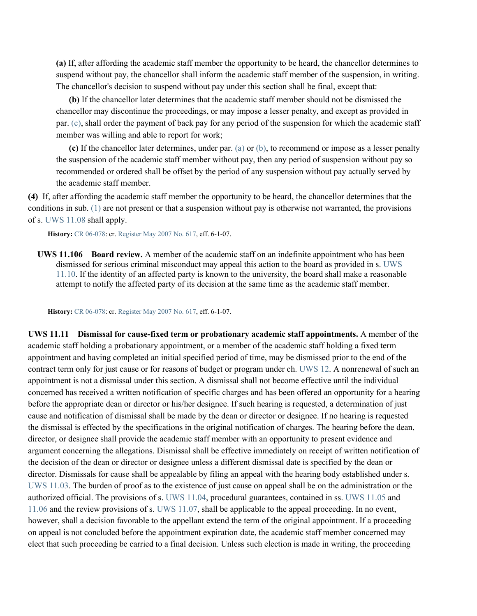**(a)** If, after affording the academic staff member the opportunity to be heard, the chancellor determines to suspend without pay, the chancellor shall inform the academic staff member of the suspension, in writing. The chancellor's decision to suspend without pay under this section shall be final, except that:

**(b)** If the chancellor later determines that the academic staff member should not be dismissed the chancellor may discontinue the proceedings, or may impose a lesser penalty, and except as provided in par. [\(c\),](https://docs.legis.wisconsin.gov/document/administrativecode/UWS%2011.105(3)(c)) shall order the payment of back pay for any period of the suspension for which the academic staff member was willing and able to report for work;

**(c)** If the chancellor later determines, under par[. \(a\)](https://docs.legis.wisconsin.gov/document/administrativecode/UWS%2011.105(3)(a)) or [\(b\),](https://docs.legis.wisconsin.gov/document/administrativecode/UWS%2011.105(3)(b)) to recommend or impose as a lesser penalty the suspension of the academic staff member without pay, then any period of suspension without pay so recommended or ordered shall be offset by the period of any suspension without pay actually served by the academic staff member.

**(4)** If, after affording the academic staff member the opportunity to be heard, the chancellor determines that the conditions in sub[. \(1\)](https://docs.legis.wisconsin.gov/document/administrativecode/UWS%2011.105(1)) are not present or that a suspension without pay is otherwise not warranted, the provisions of s[. UWS 11.08](https://docs.legis.wisconsin.gov/document/administrativecode/UWS%2011.08) shall apply.

**History:** [CR 06-078:](https://docs.legis.wisconsin.gov/document/cr/2006/78) cr[. Register May 2007 No. 617,](https://docs.legis.wisconsin.gov/document/register/617/B/toc) eff. 6-1-07.

**UWS 11.106 Board review.** A member of the academic staff on an indefinite appointment who has been dismissed for serious criminal misconduct may appeal this action to the board as provided in s. [UWS](https://docs.legis.wisconsin.gov/document/administrativecode/UWS%2011.10)  [11.10.](https://docs.legis.wisconsin.gov/document/administrativecode/UWS%2011.10) If the identity of an affected party is known to the university, the board shall make a reasonable attempt to notify the affected party of its decision at the same time as the academic staff member.

**History:** [CR 06-078:](https://docs.legis.wisconsin.gov/document/cr/2006/78) cr[. Register May 2007 No. 617,](https://docs.legis.wisconsin.gov/document/register/617/B/toc) eff. 6-1-07.

**UWS 11.11 Dismissal for cause-fixed term or probationary academic staff appointments.** A member of the academic staff holding a probationary appointment, or a member of the academic staff holding a fixed term appointment and having completed an initial specified period of time, may be dismissed prior to the end of the contract term only for just cause or for reasons of budget or program under ch. [UWS 12.](https://docs.legis.wisconsin.gov/document/administrativecode/ch.%20UWS%2012) A nonrenewal of such an appointment is not a dismissal under this section. A dismissal shall not become effective until the individual concerned has received a written notification of specific charges and has been offered an opportunity for a hearing before the appropriate dean or director or his/her designee. If such hearing is requested, a determination of just cause and notification of dismissal shall be made by the dean or director or designee. If no hearing is requested the dismissal is effected by the specifications in the original notification of charges. The hearing before the dean, director, or designee shall provide the academic staff member with an opportunity to present evidence and argument concerning the allegations. Dismissal shall be effective immediately on receipt of written notification of the decision of the dean or director or designee unless a different dismissal date is specified by the dean or director. Dismissals for cause shall be appealable by filing an appeal with the hearing body established under s. [UWS 11.03.](https://docs.legis.wisconsin.gov/document/administrativecode/UWS%2011.03) The burden of proof as to the existence of just cause on appeal shall be on the administration or the authorized official. The provisions of s[. UWS 11.04,](https://docs.legis.wisconsin.gov/document/administrativecode/UWS%2011.04) procedural guarantees, contained in ss. [UWS 11.05](https://docs.legis.wisconsin.gov/document/administrativecode/UWS%2011.05) and [11.06](https://docs.legis.wisconsin.gov/document/administrativecode/UWS%2011.06) and the review provisions of s. [UWS 11.07,](https://docs.legis.wisconsin.gov/document/administrativecode/UWS%2011.07) shall be applicable to the appeal proceeding. In no event, however, shall a decision favorable to the appellant extend the term of the original appointment. If a proceeding on appeal is not concluded before the appointment expiration date, the academic staff member concerned may elect that such proceeding be carried to a final decision. Unless such election is made in writing, the proceeding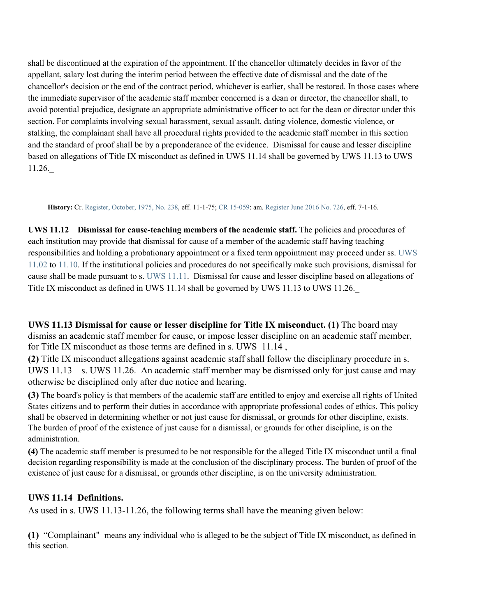shall be discontinued at the expiration of the appointment. If the chancellor ultimately decides in favor of the appellant, salary lost during the interim period between the effective date of dismissal and the date of the chancellor's decision or the end of the contract period, whichever is earlier, shall be restored. In those cases where the immediate supervisor of the academic staff member concerned is a dean or director, the chancellor shall, to avoid potential prejudice, designate an appropriate administrative officer to act for the dean or director under this section. For complaints involving sexual harassment, sexual assault, dating violence, domestic violence, or stalking, the complainant shall have all procedural rights provided to the academic staff member in this section and the standard of proof shall be by a preponderance of the evidence. Dismissal for cause and lesser discipline based on allegations of Title IX misconduct as defined in UWS 11.14 shall be governed by UWS 11.13 to UWS 11.26.\_

**History:** Cr. [Register, October, 1975, No. 238,](https://docs.legis.wisconsin.gov/document/register/238/B/toc) eff. 11-1-75[; CR 15-059:](https://docs.legis.wisconsin.gov/document/cr/2015/59) am[. Register June 2016 No. 726,](https://docs.legis.wisconsin.gov/document/register/726/B/toc) eff. 7-1-16.

**UWS 11.12 Dismissal for cause-teaching members of the academic staff.** The policies and procedures of each institution may provide that dismissal for cause of a member of the academic staff having teaching responsibilities and holding a probationary appointment or a fixed term appointment may proceed under ss. [UWS](https://docs.legis.wisconsin.gov/document/administrativecode/UWS%2011.02)  [11.02](https://docs.legis.wisconsin.gov/document/administrativecode/UWS%2011.02) to [11.10.](https://docs.legis.wisconsin.gov/document/administrativecode/UWS%2011.10) If the institutional policies and procedures do not specifically make such provisions, dismissal for cause shall be made pursuant to s. [UWS 11.11.](https://docs.legis.wisconsin.gov/document/administrativecode/UWS%2011.11) Dismissal for cause and lesser discipline based on allegations of Title IX misconduct as defined in UWS 11.14 shall be governed by UWS 11.13 to UWS 11.26.\_

**UWS 11.13 Dismissal for cause or lesser discipline for Title IX misconduct. (1)** The board may dismiss an academic staff member for cause, or impose lesser discipline on an academic staff member, for Title IX misconduct as those terms are defined in s. UWS 11.14 ,

**(2)** Title IX misconduct allegations against academic staff shall follow the disciplinary procedure in s. UWS 11.13 – s. UWS 11.26. An academic staff member may be dismissed only for just cause and may otherwise be disciplined only after due notice and hearing.

**(3)** The board's policy is that members of the academic staff are entitled to enjoy and exercise all rights of United States citizens and to perform their duties in accordance with appropriate professional codes of ethics. This policy shall be observed in determining whether or not just cause for dismissal, or grounds for other discipline, exists. The burden of proof of the existence of just cause for a dismissal, or grounds for other discipline, is on the administration.

**(4)** The academic staff member is presumed to be not responsible for the alleged Title IX misconduct until a final decision regarding responsibility is made at the conclusion of the disciplinary process. The burden of proof of the existence of just cause for a dismissal, or grounds other discipline, is on the university administration.

# **UWS 11.14 Definitions.**

As used in s. UWS 11.13-11.26, the following terms shall have the meaning given below:

**(1)** "Complainant" means any individual who is alleged to be the subject of Title IX misconduct, as defined in this section.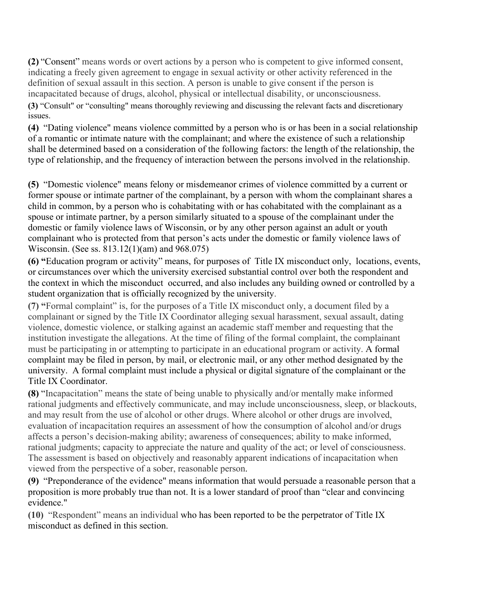**(2)** "Consent" means words or overt actions by a person who is competent to give informed consent, indicating a freely given agreement to engage in sexual activity or other activity referenced in the definition of sexual assault in this section. A person is unable to give consent if the person is incapacitated because of drugs, alcohol, physical or intellectual disability, or unconsciousness.

**(3)** "Consult" or "consulting" means thoroughly reviewing and discussing the relevant facts and discretionary issues.

**(4)** "Dating violence" means violence committed by a person who is or has been in a social relationship of a romantic or intimate nature with the complainant; and where the existence of such a relationship shall be determined based on a consideration of the following factors: the length of the relationship, the type of relationship, and the frequency of interaction between the persons involved in the relationship.

**(5)** "Domestic violence" means felony or misdemeanor crimes of violence committed by a current or former spouse or intimate partner of the complainant, by a person with whom the complainant shares a child in common, by a person who is cohabitating with or has cohabitated with the complainant as a spouse or intimate partner, by a person similarly situated to a spouse of the complainant under the domestic or family violence laws of Wisconsin, or by any other person against an adult or youth complainant who is protected from that person's acts under the domestic or family violence laws of Wisconsin. (See ss. 813.12(1)(am) and 968.075)

**(6) "**Education program or activity" means, for purposes of Title IX misconduct only, locations, events, or circumstances over which the university exercised substantial control over both the respondent and the context in which the misconduct occurred, and also includes any building owned or controlled by a student organization that is officially recognized by the university.

**(7) "**Formal complaint" is, for the purposes of a Title IX misconduct only, a document filed by a complainant or signed by the Title IX Coordinator alleging sexual harassment, sexual assault, dating violence, domestic violence, or stalking against an academic staff member and requesting that the institution investigate the allegations. At the time of filing of the formal complaint, the complainant must be participating in or attempting to participate in an educational program or activity. A formal complaint may be filed in person, by mail, or electronic mail, or any other method designated by the university. A formal complaint must include a physical or digital signature of the complainant or the Title IX Coordinator.

**(8)** "Incapacitation" means the state of being unable to physically and/or mentally make informed rational judgments and effectively communicate, and may include unconsciousness, sleep, or blackouts, and may result from the use of alcohol or other drugs. Where alcohol or other drugs are involved, evaluation of incapacitation requires an assessment of how the consumption of alcohol and/or drugs affects a person's decision-making ability; awareness of consequences; ability to make informed, rational judgments; capacity to appreciate the nature and quality of the act; or level of consciousness. The assessment is based on objectively and reasonably apparent indications of incapacitation when viewed from the perspective of a sober, reasonable person.

**(9)** "Preponderance of the evidence" means information that would persuade a reasonable person that a proposition is more probably true than not. It is a lower standard of proof than "clear and convincing evidence."

**(10)** "Respondent" means an individual who has been reported to be the perpetrator of Title IX misconduct as defined in this section.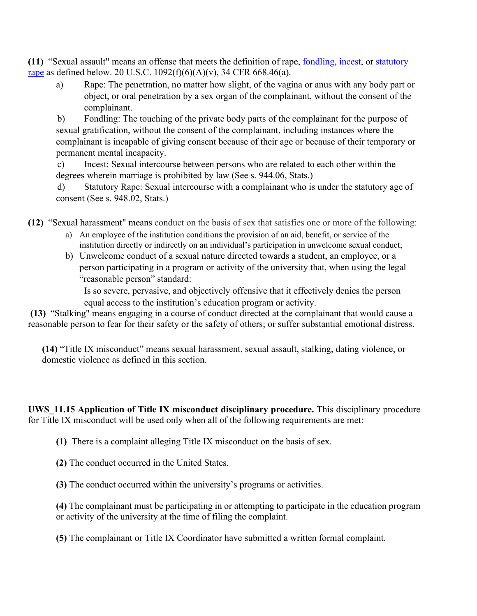**(11)** "Sexual assault" means an offense that meets the definition of rape, [fondling,](https://www.law.cornell.edu/definitions/index.php?width=840&height=800&iframe=true&def_id=3112f914903fb64936d08c8c15e2ea59&term_occur=999&term_src=Title:34:Subtitle:B:Chapter:VI:Part:668:Subpart:D:668.46) [incest,](https://www.law.cornell.edu/definitions/index.php?width=840&height=800&iframe=true&def_id=5ee45180f812d62eecc4e6aa2a0693b4&term_occur=999&term_src=Title:34:Subtitle:B:Chapter:VI:Part:668:Subpart:D:668.46) or [statutory](https://www.law.cornell.edu/definitions/index.php?width=840&height=800&iframe=true&def_id=d378725adf04ddf1e40cd14d6e338cca&term_occur=999&term_src=Title:34:Subtitle:B:Chapter:VI:Part:668:Subpart:D:668.46)  [rape](https://www.law.cornell.edu/definitions/index.php?width=840&height=800&iframe=true&def_id=d378725adf04ddf1e40cd14d6e338cca&term_occur=999&term_src=Title:34:Subtitle:B:Chapter:VI:Part:668:Subpart:D:668.46) as defined below. 20 U.S.C.  $1092(f)(6)(A)(v)$ , 34 CFR 668.46(a).

a) Rape: The penetration, no matter how slight, of the vagina or anus with any body part or object, or oral penetration by a sex organ of the complainant, without the consent of the complainant.

b) Fondling: The touching of the private body parts of the complainant for the purpose of sexual gratification, without the consent of the complainant, including instances where the complainant is incapable of giving consent because of their age or because of their temporary or permanent mental incapacity.

c) Incest: Sexual intercourse between persons who are related to each other within the degrees wherein marriage is prohibited by law (See s. 944.06, Stats.)

d) Statutory Rape: Sexual intercourse with a complainant who is under the statutory age of consent (See s. 948.02, Stats.)

**(12)** "Sexual harassment" means conduct on the basis of sex that satisfies one or more of the following:

- a) An employee of the institution conditions the provision of an aid, benefit, or service of the institution directly or indirectly on an individual's participation in unwelcome sexual conduct;
- b) Unwelcome conduct of a sexual nature directed towards a student, an employee, or a person participating in a program or activity of the university that, when using the legal "reasonable person" standard:

Is so severe, pervasive, and objectively offensive that it effectively denies the person equal access to the institution's education program or activity.

**(13)** "Stalking" means engaging in a course of conduct directed at the complainant that would cause a reasonable person to fear for their safety or the safety of others; or suffer substantial emotional distress.

**(14)** "Title IX misconduct" means sexual harassment, sexual assault, stalking, dating violence, or domestic violence as defined in this section.

**UWS\_11.15 Application of Title IX misconduct disciplinary procedure.** This disciplinary procedure for Title IX misconduct will be used only when all of the following requirements are met:

**(1)** There is a complaint alleging Title IX misconduct on the basis of sex.

**(2)** The conduct occurred in the United States.

**(3)** The conduct occurred within the university's programs or activities.

**(4)** The complainant must be participating in or attempting to participate in the education program or activity of the university at the time of filing the complaint.

**(5)** The complainant or Title IX Coordinator have submitted a written formal complaint.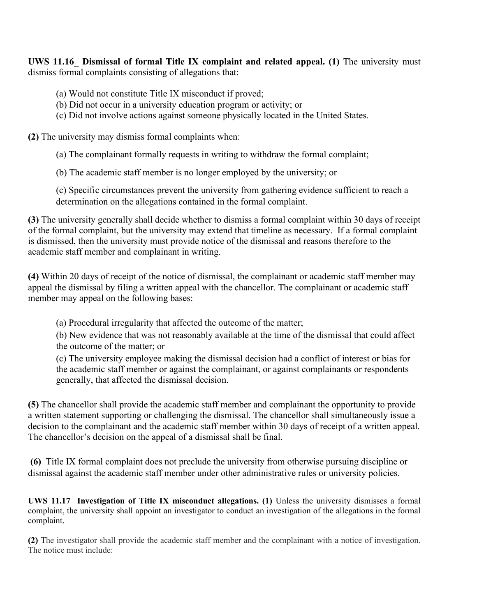**UWS 11.16** Dismissal of formal Title IX complaint and related appeal. (1) The university must dismiss formal complaints consisting of allegations that:

- (a) Would not constitute Title IX misconduct if proved;
- (b) Did not occur in a university education program or activity; or
- (c) Did not involve actions against someone physically located in the United States.

**(2)** The university may dismiss formal complaints when:

- (a) The complainant formally requests in writing to withdraw the formal complaint;
- (b) The academic staff member is no longer employed by the university; or

(c) Specific circumstances prevent the university from gathering evidence sufficient to reach a determination on the allegations contained in the formal complaint.

**(3)** The university generally shall decide whether to dismiss a formal complaint within 30 days of receipt of the formal complaint, but the university may extend that timeline as necessary. If a formal complaint is dismissed, then the university must provide notice of the dismissal and reasons therefore to the academic staff member and complainant in writing.

**(4)** Within 20 days of receipt of the notice of dismissal, the complainant or academic staff member may appeal the dismissal by filing a written appeal with the chancellor. The complainant or academic staff member may appeal on the following bases:

(a) Procedural irregularity that affected the outcome of the matter;

(b) New evidence that was not reasonably available at the time of the dismissal that could affect the outcome of the matter; or

(c) The university employee making the dismissal decision had a conflict of interest or bias for the academic staff member or against the complainant, or against complainants or respondents generally, that affected the dismissal decision.

**(5)** The chancellor shall provide the academic staff member and complainant the opportunity to provide a written statement supporting or challenging the dismissal. The chancellor shall simultaneously issue a decision to the complainant and the academic staff member within 30 days of receipt of a written appeal. The chancellor's decision on the appeal of a dismissal shall be final.

**(6)** Title IX formal complaint does not preclude the university from otherwise pursuing discipline or dismissal against the academic staff member under other administrative rules or university policies.

**UWS 11.17 Investigation of Title IX misconduct allegations. (1) Unless the university dismisses a formal** complaint, the university shall appoint an investigator to conduct an investigation of the allegations in the formal complaint.

**(2)** The investigator shall provide the academic staff member and the complainant with a notice of investigation. The notice must include: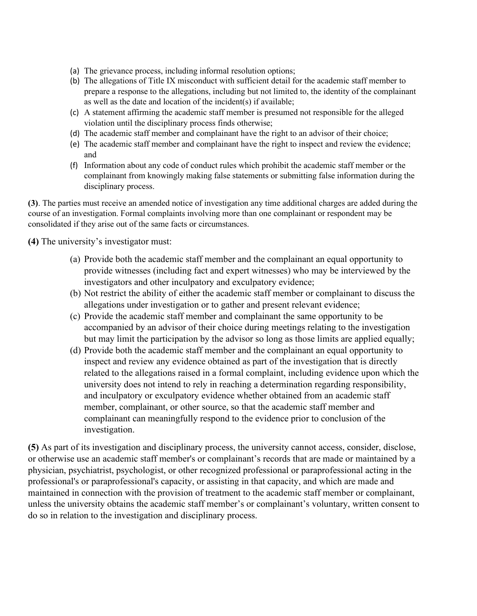- (a) The grievance process, including informal resolution options;
- (b) The allegations of Title IX misconduct with sufficient detail for the academic staff member to prepare a response to the allegations, including but not limited to, the identity of the complainant as well as the date and location of the incident(s) if available;
- (c) A statement affirming the academic staff member is presumed not responsible for the alleged violation until the disciplinary process finds otherwise;
- (d) The academic staff member and complainant have the right to an advisor of their choice;
- (e) The academic staff member and complainant have the right to inspect and review the evidence; and
- (f) Information about any code of conduct rules which prohibit the academic staff member or the complainant from knowingly making false statements or submitting false information during the disciplinary process.

**(3)**. The parties must receive an amended notice of investigation any time additional charges are added during the course of an investigation. Formal complaints involving more than one complainant or respondent may be consolidated if they arise out of the same facts or circumstances.

**(4)** The university's investigator must:

- (a) Provide both the academic staff member and the complainant an equal opportunity to provide witnesses (including fact and expert witnesses) who may be interviewed by the investigators and other inculpatory and exculpatory evidence;
- (b) Not restrict the ability of either the academic staff member or complainant to discuss the allegations under investigation or to gather and present relevant evidence;
- (c) Provide the academic staff member and complainant the same opportunity to be accompanied by an advisor of their choice during meetings relating to the investigation but may limit the participation by the advisor so long as those limits are applied equally;
- (d) Provide both the academic staff member and the complainant an equal opportunity to inspect and review any evidence obtained as part of the investigation that is directly related to the allegations raised in a formal complaint, including evidence upon which the university does not intend to rely in reaching a determination regarding responsibility, and inculpatory or exculpatory evidence whether obtained from an academic staff member, complainant, or other source, so that the academic staff member and complainant can meaningfully respond to the evidence prior to conclusion of the investigation.

**(5)** As part of its investigation and disciplinary process, the university cannot access, consider, disclose, or otherwise use an academic staff member's or complainant's records that are made or maintained by a physician, psychiatrist, psychologist, or other recognized professional or paraprofessional acting in the professional's or paraprofessional's capacity, or assisting in that capacity, and which are made and maintained in connection with the provision of treatment to the academic staff member or complainant, unless the university obtains the academic staff member's or complainant's voluntary, written consent to do so in relation to the investigation and disciplinary process.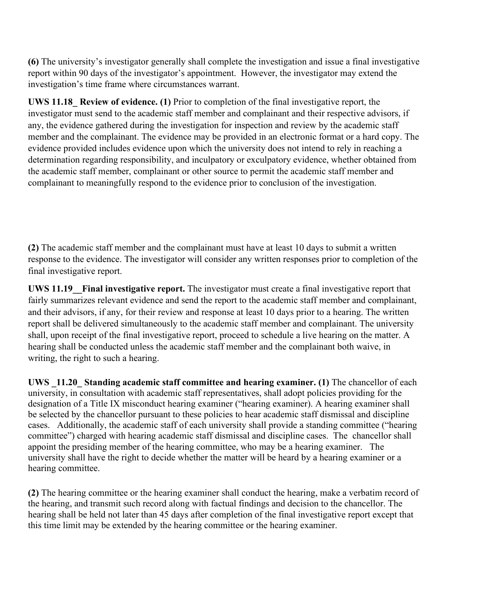**(6)** The university's investigator generally shall complete the investigation and issue a final investigative report within 90 days of the investigator's appointment. However, the investigator may extend the investigation's time frame where circumstances warrant.

**UWS 11.18\_ Review of evidence. (1)** Prior to completion of the final investigative report, the investigator must send to the academic staff member and complainant and their respective advisors, if any, the evidence gathered during the investigation for inspection and review by the academic staff member and the complainant. The evidence may be provided in an electronic format or a hard copy. The evidence provided includes evidence upon which the university does not intend to rely in reaching a determination regarding responsibility, and inculpatory or exculpatory evidence, whether obtained from the academic staff member, complainant or other source to permit the academic staff member and complainant to meaningfully respond to the evidence prior to conclusion of the investigation.

**(2)** The academic staff member and the complainant must have at least 10 days to submit a written response to the evidence. The investigator will consider any written responses prior to completion of the final investigative report.

**UWS 11.19\_\_Final investigative report.** The investigator must create a final investigative report that fairly summarizes relevant evidence and send the report to the academic staff member and complainant, and their advisors, if any, for their review and response at least 10 days prior to a hearing. The written report shall be delivered simultaneously to the academic staff member and complainant. The university shall, upon receipt of the final investigative report, proceed to schedule a live hearing on the matter. A hearing shall be conducted unless the academic staff member and the complainant both waive, in writing, the right to such a hearing.

**UWS \_11.20\_ Standing academic staff committee and hearing examiner. (1)** The chancellor of each university, in consultation with academic staff representatives, shall adopt policies providing for the designation of a Title IX misconduct hearing examiner ("hearing examiner). A hearing examiner shall be selected by the chancellor pursuant to these policies to hear academic staff dismissal and discipline cases. Additionally, the academic staff of each university shall provide a standing committee ("hearing committee") charged with hearing academic staff dismissal and discipline cases. The chancellor shall appoint the presiding member of the hearing committee, who may be a hearing examiner. The university shall have the right to decide whether the matter will be heard by a hearing examiner or a hearing committee.

**(2)** The hearing committee or the hearing examiner shall conduct the hearing, make a verbatim record of the hearing, and transmit such record along with factual findings and decision to the chancellor. The hearing shall be held not later than 45 days after completion of the final investigative report except that this time limit may be extended by the hearing committee or the hearing examiner.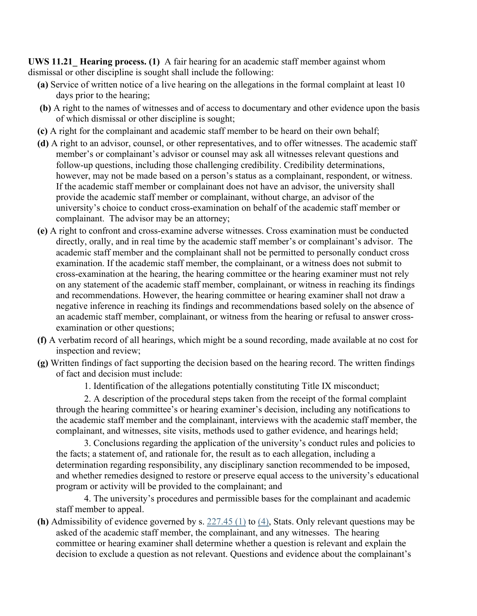**UWS 11.21\_ Hearing process. (1)** A fair hearing for an academic staff member against whom dismissal or other discipline is sought shall include the following:

- **(a)** Service of written notice of a live hearing on the allegations in the formal complaint at least 10 days prior to the hearing;
- **(b)** A right to the names of witnesses and of access to documentary and other evidence upon the basis of which dismissal or other discipline is sought;
- **(c)** A right for the complainant and academic staff member to be heard on their own behalf;
- **(d)** A right to an advisor, counsel, or other representatives, and to offer witnesses. The academic staff member's or complainant's advisor or counsel may ask all witnesses relevant questions and follow-up questions, including those challenging credibility. Credibility determinations, however, may not be made based on a person's status as a complainant, respondent, or witness. If the academic staff member or complainant does not have an advisor, the university shall provide the academic staff member or complainant, without charge, an advisor of the university's choice to conduct cross-examination on behalf of the academic staff member or complainant. The advisor may be an attorney;
- **(e)** A right to confront and cross-examine adverse witnesses. Cross examination must be conducted directly, orally, and in real time by the academic staff member's or complainant's advisor. The academic staff member and the complainant shall not be permitted to personally conduct cross examination. If the academic staff member, the complainant, or a witness does not submit to cross-examination at the hearing, the hearing committee or the hearing examiner must not rely on any statement of the academic staff member, complainant, or witness in reaching its findings and recommendations. However, the hearing committee or hearing examiner shall not draw a negative inference in reaching its findings and recommendations based solely on the absence of an academic staff member, complainant, or witness from the hearing or refusal to answer crossexamination or other questions;
- **(f)** A verbatim record of all hearings, which might be a sound recording, made available at no cost for inspection and review;
- **(g)** Written findings of fact supporting the decision based on the hearing record. The written findings of fact and decision must include:
	- 1. Identification of the allegations potentially constituting Title IX misconduct;

2. A description of the procedural steps taken from the receipt of the formal complaint through the hearing committee's or hearing examiner's decision, including any notifications to the academic staff member and the complainant, interviews with the academic staff member, the complainant, and witnesses, site visits, methods used to gather evidence, and hearings held;

3. Conclusions regarding the application of the university's conduct rules and policies to the facts; a statement of, and rationale for, the result as to each allegation, including a determination regarding responsibility, any disciplinary sanction recommended to be imposed, and whether remedies designed to restore or preserve equal access to the university's educational program or activity will be provided to the complainant; and

4. The university's procedures and permissible bases for the complainant and academic staff member to appeal.

**(h)** Admissibility of evidence governed by s. [227.45 \(1\)](http://docs.legis.wisconsin.gov/document/statutes/227.45(1)) to [\(4\),](http://docs.legis.wisconsin.gov/document/statutes/227.45(4)) Stats. Only relevant questions may be asked of the academic staff member, the complainant, and any witnesses. The hearing committee or hearing examiner shall determine whether a question is relevant and explain the decision to exclude a question as not relevant. Questions and evidence about the complainant's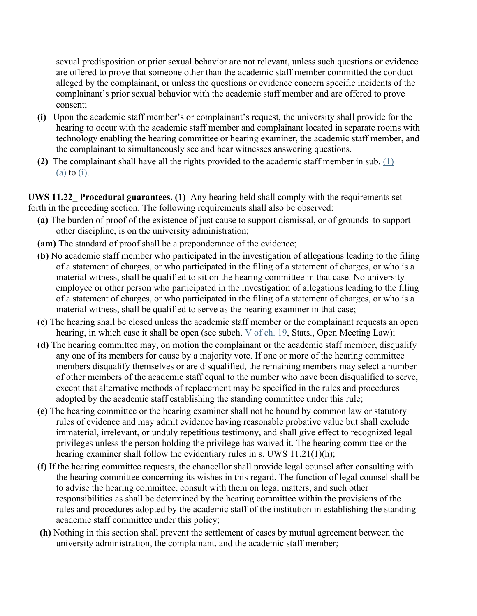sexual predisposition or prior sexual behavior are not relevant, unless such questions or evidence are offered to prove that someone other than the academic staff member committed the conduct alleged by the complainant, or unless the questions or evidence concern specific incidents of the complainant's prior sexual behavior with the academic staff member and are offered to prove consent;

- **(i)** Upon the academic staff member's or complainant's request, the university shall provide for the hearing to occur with the academic staff member and complainant located in separate rooms with technology enabling the hearing committee or hearing examiner, the academic staff member, and the complainant to simultaneously see and hear witnesses answering questions.
- **(2)** The complainant shall have all the rights provided to the academic staff member in sub. [\(1\)](http://docs.legis.wisconsin.gov/document/administrativecode/UWS%204.05(1)(a))  [\(a\)](http://docs.legis.wisconsin.gov/document/administrativecode/UWS%204.05(1)(a)) to  $(i)$ .

**UWS 11.22\_ Procedural guarantees. (1)** Any hearing held shall comply with the requirements set forth in the preceding section. The following requirements shall also be observed:

- **(a)** The burden of proof of the existence of just cause to support dismissal, or of grounds to support other discipline, is on the university administration;
- **(am)** The standard of proof shall be a preponderance of the evidence;
- **(b)** No academic staff member who participated in the investigation of allegations leading to the filing of a statement of charges, or who participated in the filing of a statement of charges, or who is a material witness, shall be qualified to sit on the hearing committee in that case. No university employee or other person who participated in the investigation of allegations leading to the filing of a statement of charges, or who participated in the filing of a statement of charges, or who is a material witness, shall be qualified to serve as the hearing examiner in that case;
- **(c)** The hearing shall be closed unless the academic staff member or the complainant requests an open hearing, in which case it shall be open (see subch. [V](http://docs.legis.wisconsin.gov/document/statutes/subch.%20V%20of%20ch.%2019) [of ch. 19,](http://docs.legis.wisconsin.gov/document/statutes/subch.%20V%20of%20ch.%2019) Stats., Open Meeting Law);
- **(d)** The hearing committee may, on motion the complainant or the academic staff member, disqualify any one of its members for cause by a majority vote. If one or more of the hearing committee members disqualify themselves or are disqualified, the remaining members may select a number of other members of the academic staff equal to the number who have been disqualified to serve, except that alternative methods of replacement may be specified in the rules and procedures adopted by the academic staff establishing the standing committee under this rule;
- **(e)** The hearing committee or the hearing examiner shall not be bound by common law or statutory rules of evidence and may admit evidence having reasonable probative value but shall exclude immaterial, irrelevant, or unduly repetitious testimony, and shall give effect to recognized legal privileges unless the person holding the privilege has waived it. The hearing committee or the hearing examiner shall follow the evidentiary rules in s. UWS 11.21(1)(h);
- **(f)** If the hearing committee requests, the chancellor shall provide legal counsel after consulting with the hearing committee concerning its wishes in this regard. The function of legal counsel shall be to advise the hearing committee, consult with them on legal matters, and such other responsibilities as shall be determined by the hearing committee within the provisions of the rules and procedures adopted by the academic staff of the institution in establishing the standing academic staff committee under this policy;
- **(h)** Nothing in this section shall prevent the settlement of cases by mutual agreement between the university administration, the complainant, and the academic staff member;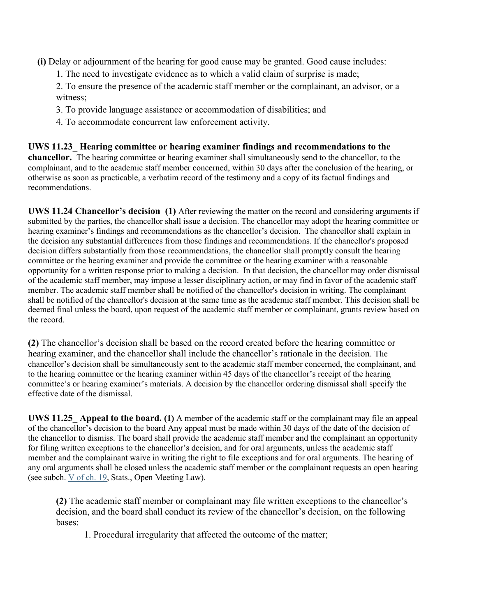- **(i)** Delay or adjournment of the hearing for good cause may be granted. Good cause includes:
	- 1. The need to investigate evidence as to which a valid claim of surprise is made;
	- 2. To ensure the presence of the academic staff member or the complainant, an advisor, or a witness;
	- 3. To provide language assistance or accommodation of disabilities; and
	- 4. To accommodate concurrent law enforcement activity.

**UWS 11.23\_ Hearing committee or hearing examiner findings and recommendations to the chancellor.** The hearing committee or hearing examiner shall simultaneously send to the chancellor, to the complainant, and to the academic staff member concerned, within 30 days after the conclusion of the hearing, or otherwise as soon as practicable, a verbatim record of the testimony and a copy of its factual findings and recommendations.

**UWS 11.24 Chancellor's decision (1)** After reviewing the matter on the record and considering arguments if submitted by the parties, the chancellor shall issue a decision. The chancellor may adopt the hearing committee or hearing examiner's findings and recommendations as the chancellor's decision. The chancellor shall explain in the decision any substantial differences from those findings and recommendations. If the chancellor's proposed decision differs substantially from those recommendations, the chancellor shall promptly consult the hearing committee or the hearing examiner and provide the committee or the hearing examiner with a reasonable opportunity for a written response prior to making a decision. In that decision, the chancellor may order dismissal of the academic staff member, may impose a lesser disciplinary action, or may find in favor of the academic staff member. The academic staff member shall be notified of the chancellor's decision in writing. The complainant shall be notified of the chancellor's decision at the same time as the academic staff member. This decision shall be deemed final unless the board, upon request of the academic staff member or complainant, grants review based on the record.

**(2)** The chancellor's decision shall be based on the record created before the hearing committee or hearing examiner, and the chancellor shall include the chancellor's rationale in the decision. The chancellor's decision shall be simultaneously sent to the academic staff member concerned, the complainant, and to the hearing committee or the hearing examiner within 45 days of the chancellor's receipt of the hearing committee's or hearing examiner's materials. A decision by the chancellor ordering dismissal shall specify the effective date of the dismissal.

**UWS 11.25\_ Appeal to the board. (1)** A member of the academic staff or the complainant may file an appeal of the chancellor's decision to the board Any appeal must be made within 30 days of the date of the decision of the chancellor to dismiss. The board shall provide the academic staff member and the complainant an opportunity for filing written exceptions to the chancellor's decision, and for oral arguments, unless the academic staff member and the complainant waive in writing the right to file exceptions and for oral arguments. The hearing of any oral arguments shall be closed unless the academic staff member or the complainant requests an open hearing (see subch. [V](http://docs.legis.wisconsin.gov/document/statutes/subch.%20V%20of%20ch.%2019) [of ch. 19,](http://docs.legis.wisconsin.gov/document/statutes/subch.%20V%20of%20ch.%2019) Stats., Open Meeting Law).

**(2)** The academic staff member or complainant may file written exceptions to the chancellor's decision, and the board shall conduct its review of the chancellor's decision, on the following bases:

1. Procedural irregularity that affected the outcome of the matter;